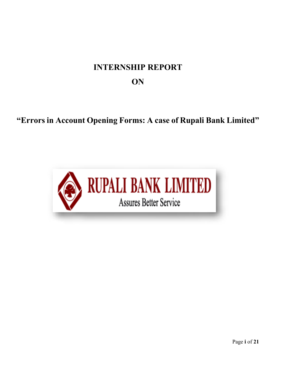# **INTERNSHIP REPORT ON**

# **"Errors in Account Opening Forms: A case of Rupali Bank Limited"**

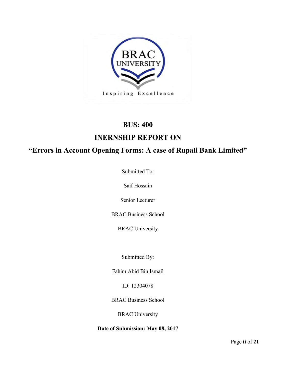

### **BUS: 400**

### **INERNSHIP REPORT ON**

### **"Errors in Account Opening Forms: A case of Rupali Bank Limited"**

Submitted To:

Saif Hossain

Senior Lecturer

BRAC Business School

BRAC University

Submitted By:

Fahim Abid Bin Ismail

ID: 12304078

BRAC Business School

BRAC University

**Date of Submission: May 08, 2017**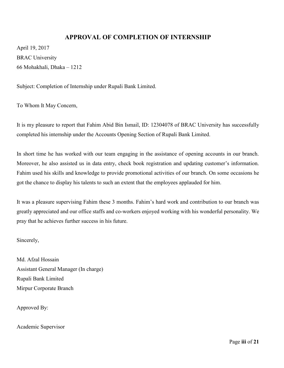#### **APPROVAL OF COMPLETION OF INTERNSHIP**

April 19, 2017 BRAC University 66 Mohakhali, Dhaka – 1212

Subject: Completion of Internship under Rupali Bank Limited.

To Whom It May Concern,

It is my pleasure to report that Fahim Abid Bin Ismail, ID: 12304078 of BRAC University has successfully completed his internship under the Accounts Opening Section of Rupali Bank Limited.

In short time he has worked with our team engaging in the assistance of opening accounts in our branch. Moreover, he also assisted us in data entry, check book registration and updating customer's information. Fahim used his skills and knowledge to provide promotional activities of our branch. On some occasions he got the chance to display his talents to such an extent that the employees applauded for him.

It was a pleasure supervising Fahim these 3 months. Fahim's hard work and contribution to our branch was greatly appreciated and our office staffs and co-workers enjoyed working with his wonderful personality. We pray that he achieves further success in his future.

Sincerely,

Md. Afzal Hossain Assistant General Manager (In charge) Rupali Bank Limited Mirpur Corporate Branch

Approved By:

Academic Supervisor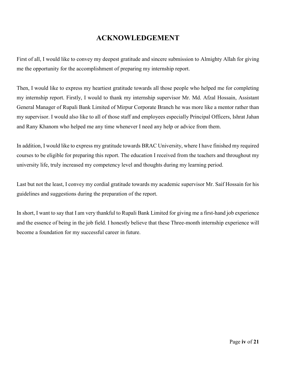### **ACKNOWLEDGEMENT**

First of all, I would like to convey my deepest gratitude and sincere submission to Almighty Allah for giving me the opportunity for the accomplishment of preparing my internship report.

Then, I would like to express my heartiest gratitude towards all those people who helped me for completing my internship report. Firstly, I would to thank my internship supervisor Mr. Md. Afzal Hossain, Assistant General Manager of Rupali Bank Limited of Mirpur Corporate Branch he was more like a mentor rather than my supervisor. I would also like to all of those staff and employees especially Principal Officers, Ishrat Jahan and Rany Khanom who helped me any time whenever I need any help or advice from them.

In addition, I would like to express my gratitude towards BRAC University, where I have finished my required courses to be eligible for preparing this report. The education I received from the teachers and throughout my university life, truly increased my competency level and thoughts during my learning period.

Last but not the least, I convey my cordial gratitude towards my academic supervisor Mr. Saif Hossain for his guidelines and suggestions during the preparation of the report.

In short, I want to say that I am very thankful to Rupali Bank Limited for giving me a first-hand job experience and the essence of being in the job field. I honestly believe that these Three-month internship experience will become a foundation for my successful career in future.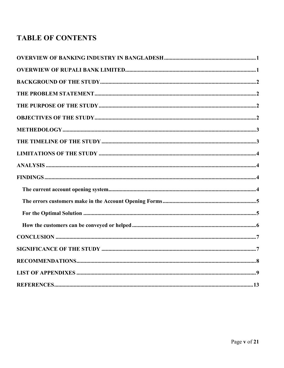# **TABLE OF CONTENTS**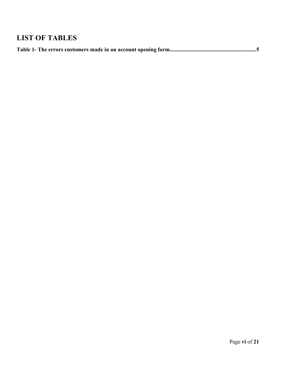# **LIST OF TABLES**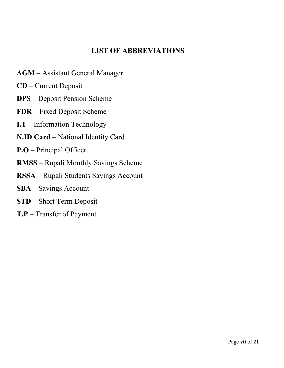### **LIST OF ABBREVIATIONS**

- **AGM** Assistant General Manager
- **CD** Current Deposit
- **DP**S Deposit Pension Scheme
- **FDR** Fixed Deposit Scheme
- **I.T** Information Technology
- **N.ID Card** National Identity Card
- **P.O** Principal Officer
- **RMSS** Rupali Monthly Savings Scheme
- **RSSA** Rupali Students Savings Account
- **SBA** Savings Account
- **STD** Short Term Deposit
- **T.P** Transfer of Payment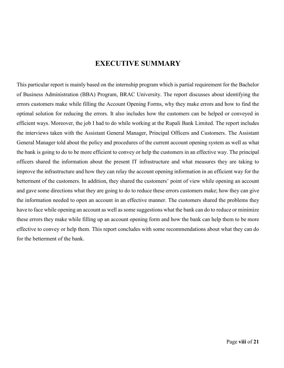### **EXECUTIVE SUMMARY**

<span id="page-7-0"></span>This particular report is mainly based on the internship program which is partial requirement for the Bachelor of Business Administration (BBA) Program, BRAC University. The report discusses about identifying the errors customers make while filling the Account Opening Forms, why they make errors and how to find the optimal solution for reducing the errors. It also includes how the customers can be helped or conveyed in efficient ways. Moreover, the job I had to do while working at the Rupali Bank Limited. The report includes the interviews taken with the Assistant General Manager, Principal Officers and Customers. The Assistant General Manager told about the policy and procedures of the current account opening system as well as what the bank is going to do to be more efficient to convey or help the customers in an effective way. The principal officers shared the information about the present IT infrastructure and what measures they are taking to improve the infrastructure and how they can relay the account opening information in an efficient way for the betterment of the customers. In addition, they shared the customers' point of view while opening an account and gave some directions what they are going to do to reduce these errors customers make; how they can give the information needed to open an account in an effective manner. The customers shared the problems they have to face while opening an account as well as some suggestions what the bank can do to reduce or minimize these errors they make while filling up an account opening form and how the bank can help them to be more effective to convey or help them. This report concludes with some recommendations about what they can do for the betterment of the bank.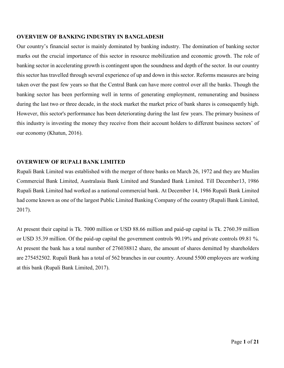#### **OVERVIEW OF BANKING INDUSTRY IN BANGLADESH**

Our country's financial sector is mainly dominated by banking industry. The domination of banking sector marks out the crucial importance of this sector in resource mobilization and economic growth. The role of banking sector in accelerating growth is contingent upon the soundness and depth of the sector. In our country this sector has travelled through several experience of up and down in this sector. Reforms measures are being taken over the past few years so that the Central Bank can have more control over all the banks. Though the banking sector has been performing well in terms of generating employment, remunerating and business during the last two or three decade, in the stock market the market price of bank shares is consequently high. However, this sector's performance has been deteriorating during the last few years. The primary business of this industry is investing the money they receive from their account holders to different business sectors' of our economy (Khatun, 2016).

#### <span id="page-8-0"></span>**OVERWIEW OF RUPALI BANK LIMITED**

Rupali Bank Limited was established with the merger of three banks on March 26, 1972 and they are Muslim Commercial Bank Limited, Australasia Bank Limited and Standard Bank Limited. Till December13, 1986 Rupali Bank Limited had worked as a national commercial bank. At December 14, 1986 Rupali Bank Limited had come known as one of the largest Public Limited Banking Company of the country (Rupali Bank Limited, 2017).

<span id="page-8-1"></span>At present their capital is Tk. 7000 million or USD 88.66 million and paid-up capital is Tk. 2760.39 million or USD 35.39 million. Of the paid-up capital the government controls 90.19% and private controls 09.81 %. At present the bank has a total number of 276038812 share, the amount of shares demitted by shareholders are 275452502. Rupali Bank has a total of 562 branches in our country. Around 5500 employees are working at this bank (Rupali Bank Limited, 2017).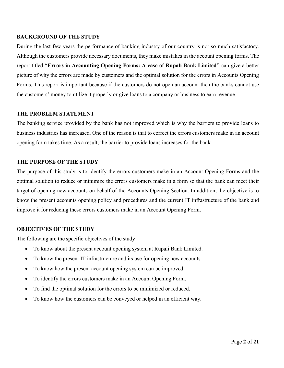#### **BACKGROUND OF THE STUDY**

During the last few years the performance of banking industry of our country is not so much satisfactory. Although the customers provide necessary documents, they make mistakes in the account opening forms. The report titled **"Errors in Accounting Opening Forms: A case of Rupali Bank Limited"** can give a better picture of why the errors are made by customers and the optimal solution for the errors in Accounts Opening Forms. This report is important because if the customers do not open an account then the banks cannot use the customers' money to utilize it properly or give loans to a company or business to earn revenue.

#### <span id="page-9-0"></span>**THE PROBLEM STATEMENT**

The banking service provided by the bank has not improved which is why the barriers to provide loans to business industries has increased. One of the reason is that to correct the errors customers make in an account opening form takes time. As a result, the barrier to provide loans increases for the bank.

#### <span id="page-9-1"></span>**THE PURPOSE OF THE STUDY**

The purpose of this study is to identify the errors customers make in an Account Opening Forms and the optimal solution to reduce or minimize the errors customers make in a form so that the bank can meet their target of opening new accounts on behalf of the Accounts Opening Section. In addition, the objective is to know the present accounts opening policy and procedures and the current IT infrastructure of the bank and improve it for reducing these errors customers make in an Account Opening Form.

#### <span id="page-9-2"></span>**OBJECTIVES OF THE STUDY**

The following are the specific objectives of the study  $-$ 

- To know about the present account opening system at Rupali Bank Limited.
- To know the present IT infrastructure and its use for opening new accounts.
- To know how the present account opening system can be improved.
- To identify the errors customers make in an Account Opening Form.
- To find the optimal solution for the errors to be minimized or reduced.
- To know how the customers can be conveyed or helped in an efficient way.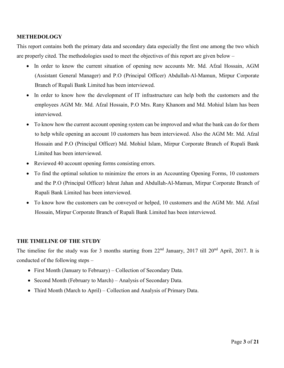#### <span id="page-10-0"></span>**METHEDOLOGY**

This report contains both the primary data and secondary data especially the first one among the two which are properly cited. The methodologies used to meet the objectives of this report are given below –

- In order to know the current situation of opening new accounts Mr. Md. Afzal Hossain, AGM (Assistant General Manager) and P.O (Principal Officer) Abdullah-Al-Mamun, Mirpur Corporate Branch of Rupali Bank Limited has been interviewed.
- In order to know how the development of IT infrastructure can help both the customers and the employees AGM Mr. Md. Afzal Hossain, P.O Mrs. Rany Khanom and Md. Mohiul Islam has been interviewed.
- To know how the current account opening system can be improved and what the bank can do for them to help while opening an account 10 customers has been interviewed. Also the AGM Mr. Md. Afzal Hossain and P.O (Principal Officer) Md. Mohiul Islam, Mirpur Corporate Branch of Rupali Bank Limited has been interviewed.
- Reviewed 40 account opening forms consisting errors.
- To find the optimal solution to minimize the errors in an Accounting Opening Forms, 10 customers and the P.O (Principal Officer) Ishrat Jahan and Abdullah-Al-Mamun, Mirpur Corporate Branch of Rupali Bank Limited has been interviewed.
- To know how the customers can be conveyed or helped, 10 customers and the AGM Mr. Md. Afzal Hossain, Mirpur Corporate Branch of Rupali Bank Limited has been interviewed.

#### <span id="page-10-1"></span>**THE TIMELINE OF THE STUDY**

The timeline for the study was for 3 months starting from 22<sup>nd</sup> January, 2017 till 20<sup>nd</sup> April, 2017. It is conducted of the following steps –

- First Month (January to February) Collection of Secondary Data.
- Second Month (February to March) Analysis of Secondary Data.
- Third Month (March to April) Collection and Analysis of Primary Data.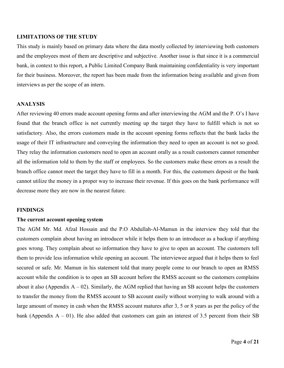#### <span id="page-11-0"></span>**LIMITATIONS OF THE STUDY**

This study is mainly based on primary data where the data mostly collected by interviewing both customers and the employees most of them are descriptive and subjective. Another issue is that since it is a commercial bank, in context to this report, a Public Limited Company Bank maintaining confidentiality is very important for their business. Moreover, the report has been made from the information being available and given from interviews as per the scope of an intern.

#### <span id="page-11-1"></span>**ANALYSIS**

After reviewing 40 errors made account opening forms and after interviewing the AGM and the P. O's I have found that the branch office is not currently meeting up the target they have to fulfill which is not so satisfactory. Also, the errors customers made in the account opening forms reflects that the bank lacks the usage of their IT infrastructure and conveying the information they need to open an account is not so good. They relay the information customers need to open an account orally as a result customers cannot remember all the information told to them by the staff or employees. So the customers make these errors as a result the branch office cannot meet the target they have to fill in a month. For this, the customers deposit or the bank cannot utilize the money in a proper way to increase their revenue. If this goes on the bank performance will decrease more they are now in the nearest future.

#### <span id="page-11-2"></span>**FINDINGS**

#### <span id="page-11-3"></span>**The current account opening system**

The AGM Mr. Md. Afzal Hossain and the P.O Abdullah-Al-Mamun in the interview they told that the customers complain about having an introducer while it helps them to an introducer as a backup if anything goes wrong. They complain about so information they have to give to open an account. The customers tell them to provide less information while opening an account. The interviewee argued that it helps them to feel secured or safe. Mr. Mamun in his statement told that many people come to our branch to open an RMSS account while the condition is to open an SB account before the RMSS account so the customers complains about it also (Appendix  $A - 02$ ). Similarly, the AGM replied that having an SB account helps the customers to transfer the money from the RMSS account to SB account easily without worrying to walk around with a large amount of money in cash when the RMSS account matures after 3, 5 or 8 years as per the policy of the bank (Appendix  $A - 01$ ). He also added that customers can gain an interest of 3.5 percent from their SB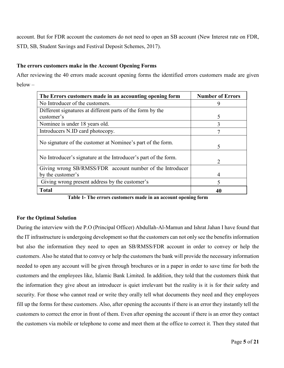account. But for FDR account the customers do not need to open an SB account (New Interest rate on FDR, STD, SB, Student Savings and Festival Deposit Schemes, 2017).

#### <span id="page-12-0"></span>**The errors customers make in the Account Opening Forms**

After reviewing the 40 errors made account opening forms the identified errors customers made are given below –

| The Errors customers made in an accounting opening form         | <b>Number of Errors</b> |
|-----------------------------------------------------------------|-------------------------|
| No Introducer of the customers.                                 | 9                       |
| Different signatures at different parts of the form by the      |                         |
| customer's                                                      | 5                       |
| Nominee is under 18 years old.                                  | 3                       |
| Introducers N.ID card photocopy.                                | Ξ                       |
| No signature of the customer at Nominee's part of the form.     | 5                       |
| No Introducer's signature at the Introducer's part of the form. | $\mathcal{D}$           |
| Giving wrong SB/RMSS/FDR account number of the Introducer       |                         |
| by the customer's                                               | 4                       |
| Giving wrong present address by the customer's                  | 5                       |
| <b>Total</b>                                                    | 40                      |

**Table 1- The errors customers made in an account opening form** 

#### <span id="page-12-2"></span><span id="page-12-1"></span>**For the Optimal Solution**

During the interview with the P.O (Principal Officer) Abdullah-Al-Mamun and Ishrat Jahan I have found that the IT infrastructure is undergoing development so that the customers can not only see the benefits information but also the information they need to open an SB/RMSS/FDR account in order to convey or help the customers. Also he stated that to convey or help the customers the bank will provide the necessary information needed to open any account will be given through brochures or in a paper in order to save time for both the customers and the employees like, Islamic Bank Limited. In addition, they told that the customers think that the information they give about an introducer is quiet irrelevant but the reality is it is for their safety and security. For those who cannot read or write they orally tell what documents they need and they employees fill up the forms for these customers. Also, after opening the accounts if there is an error they instantly tell the customers to correct the error in front of them. Even after opening the account if there is an error they contact the customers via mobile or telephone to come and meet them at the office to correct it. Then they stated that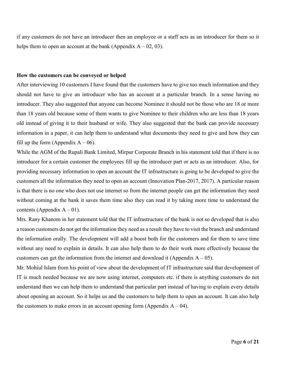if any customers do not have an introducer then an employee or a staff acts as an introducer for them so it helps them to open an account at the bank (Appendix  $A - 02$ , 03).

#### <span id="page-13-0"></span>**How the customers can be conveyed or helped**

After interviewing 10 customers I have found that the customers have to give too much information and they should not have to give an introducer who has an account at a particular branch. In a sense having no introducer. They also suggested that anyone can become Nominee it should not be those who are 18 or more than 18 years old because some of them wants to give Nominee to their children who are less than 18 years old instead of giving it to their husband or wife. They also suggested that the bank can provide necessary information in a paper, it can help them to understand what documents they need to give and how they can fill up the form (Appendix  $A - 06$ ).

While the AGM of the Rupali Bank Limited, Mirpur Corporate Branch in his statement told that if there is no introducer for a certain customer the employees fill up the introducer part or acts as an introducer. Also, for providing necessary information to open an account the IT infrastructure is going to be developed to give the customers all the information they need to open an account (Innovation Plan-2017, 2017). A particular reason is that there is no one who does not use internet so from the internet people can get the information they need without coming at the bank it saves them time also they can read it by taking more time to understand the contents (Appendix  $A - 01$ ).

Mrs. Rany Khanom in her statement told that the IT infrastructure of the bank is not so developed that is also a reason customers do not get the information they need as a result they have to visit the branch and understand the information orally. The development will add a boost both for the customers and for them to save time without any need to explain in details. It can also help them to do their work more effectively because the customers can get the information from the internet and download it (Appendix  $A - 05$ ).

<span id="page-13-1"></span>Mr. Mohiul Islam from his point of view about the development of IT infrastructure said that development of IT is much needed because we are now using internet, computers etc. if there is anything customers do not understand then we can help them to understand that particular part instead of having to explain every details about opening an account. So it helps us and the customers to help them to open an account. It can also help the customers to make errors in an account opening form (Appendix  $A - 04$ ).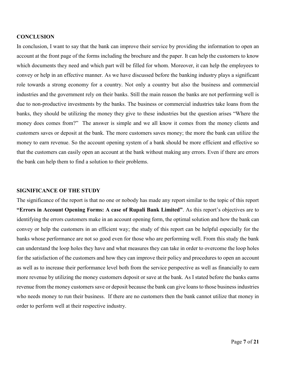#### **CONCLUSION**

In conclusion, I want to say that the bank can improve their service by providing the information to open an account at the front page of the forms including the brochure and the paper. It can help the customers to know which documents they need and which part will be filled for whom. Moreover, it can help the employees to convey or help in an effective manner. As we have discussed before the banking industry plays a significant role towards a strong economy for a country. Not only a country but also the business and commercial industries and the government rely on their banks. Still the main reason the banks are not performing well is due to non-productive investments by the banks. The business or commercial industries take loans from the banks, they should be utilizing the money they give to these industries but the question arises "Where the money does comes from?" The answer is simple and we all know it comes from the money clients and customers saves or deposit at the bank. The more customers saves money; the more the bank can utilize the money to earn revenue. So the account opening system of a bank should be more efficient and effective so that the customers can easily open an account at the bank without making any errors. Even if there are errors the bank can help them to find a solution to their problems.

#### <span id="page-14-0"></span>**SIGNIFICANCE OF THE STUDY**

<span id="page-14-1"></span>The significance of the report is that no one or nobody has made any report similar to the topic of this report **"Errors in Account Opening Forms: A case of Rupali Bank Limited"**. As this report's objectives are to identifying the errors customers make in an account opening form, the optimal solution and how the bank can convey or help the customers in an efficient way; the study of this report can be helpful especially for the banks whose performance are not so good even for those who are performing well. From this study the bank can understand the loop holes they have and what measures they can take in order to overcome the loop holes for the satisfaction of the customers and how they can improve their policy and procedures to open an account as well as to increase their performance level both from the service perspective as well as financially to earn more revenue by utilizing the money customers deposit or save at the bank. As I stated before the banks earns revenue from the money customers save or deposit because the bank can give loans to those business industries who needs money to run their business. If there are no customers then the bank cannot utilize that money in order to perform well at their respective industry.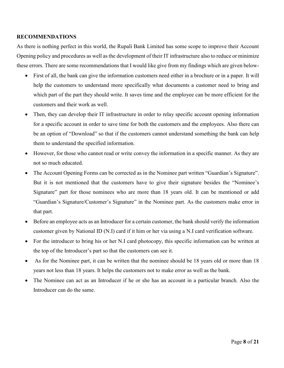#### **RECOMMENDATIONS**

As there is nothing perfect in this world, the Rupali Bank Limited has some scope to improve their Account Opening policy and procedures as well as the development of their IT infrastructure also to reduce or minimize these errors. There are some recommendations that I would like give from my findings which are given below-

- First of all, the bank can give the information customers need either in a brochure or in a paper. It will help the customers to understand more specifically what documents a customer need to bring and which part of the part they should write. It saves time and the employee can be more efficient for the customers and their work as well.
- Then, they can develop their IT infrastructure in order to relay specific account opening information for a specific account in order to save time for both the customers and the employees. Also there can be an option of "Download" so that if the customers cannot understand something the bank can help them to understand the specified information.
- However, for those who cannot read or write convey the information in a specific manner. As they are not so much educated.
- The Account Opening Forms can be corrected as in the Nominee part written "Guardian's Signature". But it is not mentioned that the customers have to give their signature besides the "Nominee's Signature" part for those nominees who are more than 18 years old. It can be mentioned or add "Guardian's Signature/Customer's Signature" in the Nominee part. As the customers make error in that part.
- Before an employee acts as an Introducer for a certain customer, the bank should verify the information customer given by National ID (N.I) card if it him or her via using a N.I card verification software.
- For the introducer to bring his or her N.I card photocopy, this specific information can be written at the top of the Introducer's part so that the customers can see it.
- As for the Nominee part, it can be written that the nominee should be 18 years old or more than 18 years not less than 18 years. It helps the customers not to make error as well as the bank.
- The Nominee can act as an Introducer if he or she has an account in a particular branch. Also the Introducer can do the same.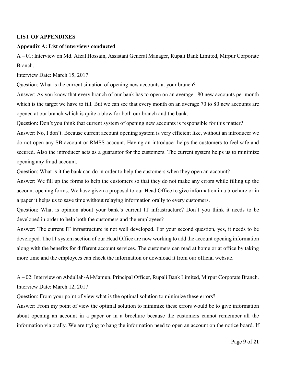#### <span id="page-16-0"></span>**LIST OF APPENDIXES**

#### **Appendix A: List of interviews conducted**

A – 01: Interview on Md. Afzal Hossain, Assistant General Manager, Rupali Bank Limited, Mirpur Corporate Branch.

Interview Date: March 15, 2017

Question: What is the current situation of opening new accounts at your branch?

Answer: As you know that every branch of our bank has to open on an average 180 new accounts per month which is the target we have to fill. But we can see that every month on an average 70 to 80 new accounts are opened at our branch which is quite a blow for both our branch and the bank.

Question: Don't you think that current system of opening new accounts is responsible for this matter?

Answer: No, I don't. Because current account opening system is very efficient like, without an introducer we do not open any SB account or RMSS account. Having an introducer helps the customers to feel safe and secured. Also the introducer acts as a guarantor for the customers. The current system helps us to minimize opening any fraud account.

Question: What is it the bank can do in order to help the customers when they open an account?

Answer: We fill up the forms to help the customers so that they do not make any errors while filling up the account opening forms. We have given a proposal to our Head Office to give information in a brochure or in a paper it helps us to save time without relaying information orally to every customers.

Question: What is opinion about your bank's current IT infrastructure? Don't you think it needs to be developed in order to help both the customers and the employees?

Answer: The current IT infrastructure is not well developed. For your second question, yes, it needs to be developed. The IT system section of our Head Office are now working to add the account opening information along with the benefits for different account services. The customers can read at home or at office by taking more time and the employees can check the information or download it from our official website.

A – 02: Interview on Abdullah-Al-Mamun, Principal Officer, Rupali Bank Limited, Mirpur Corporate Branch. Interview Date: March 12, 2017

Question: From your point of view what is the optimal solution to minimize these errors?

Answer: From my point of view the optimal solution to minimize these errors would be to give information about opening an account in a paper or in a brochure because the customers cannot remember all the information via orally. We are trying to hang the information need to open an account on the notice board. If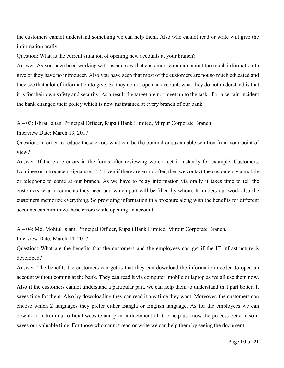the customers cannot understand something we can help them. Also who cannot read or write will give the information orally.

Question: What is the current situation of opening new accounts at your branch?

Answer: As you have been working with us and saw that customers complain about too much information to give or they have no introducer. Also you have seen that most of the customers are not so much educated and they see that a lot of information to give. So they do not open an account, what they do not understand is that it is for their own safety and security. As a result the target are not meet up to the task. For a certain incident the bank changed their policy which is now maintained at every branch of our bank.

A – 03: Ishrat Jahan, Principal Officer, Rupali Bank Limited, Mirpur Corporate Branch.

Interview Date: March 13, 2017

Question: In order to reduce these errors what can be the optimal or sustainable solution from your point of view?

Answer: If there are errors in the forms after reviewing we correct it instantly for example, Customers, Nominee or Introducers signature, T.P. Even if there are errors after, then we contact the customers via mobile or telephone to come at our branch. As we have to relay information via orally it takes time to tell the customers what documents they need and which part will be filled by whom. It hinders our work also the customers memorize everything. So providing information in a brochure along with the benefits for different accounts can minimize these errors while opening an account.

A – 04: Md. Mohiul Islam, Principal Officer, Rupali Bank Limited, Mirpur Corporate Branch.

Interview Date: March 14, 2017

Question: What are the benefits that the customers and the employees can get if the IT infrastructure is developed?

Answer: The benefits the customers can get is that they can download the information needed to open an account without coming at the bank. They can read it via computer, mobile or laptop as we all use them now. Also if the customers cannot understand a particular part, we can help them to understand that part better. It saves time for them. Also by downloading they can read it any time they want. Moreover, the customers can choose which 2 languages they prefer either Bangla or English language. As for the employees we can download it from our official website and print a document of it to help us know the process better also it saves our valuable time. For those who cannot read or write we can help them by seeing the document.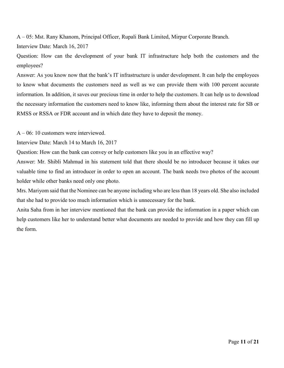A – 05: Mst. Rany Khanom, Principal Officer, Rupali Bank Limited, Mirpur Corporate Branch.

Interview Date: March 16, 2017

Question: How can the development of your bank IT infrastructure help both the customers and the employees?

Answer: As you know now that the bank's IT infrastructure is under development. It can help the employees to know what documents the customers need as well as we can provide them with 100 percent accurate information. In addition, it saves our precious time in order to help the customers. It can help us to download the necessary information the customers need to know like, informing them about the interest rate for SB or RMSS or RSSA or FDR account and in which date they have to deposit the money.

A – 06: 10 customers were interviewed.

Interview Date: March 14 to March 16, 2017

Question: How can the bank can convey or help customers like you in an effective way?

Answer: Mr. Shibli Mahmud in his statement told that there should be no introducer because it takes our valuable time to find an introducer in order to open an account. The bank needs two photos of the account holder while other banks need only one photo.

Mrs. Mariyom said that the Nominee can be anyone including who are less than 18 years old. She also included that she had to provide too much information which is unnecessary for the bank.

Anita Saha from in her interview mentioned that the bank can provide the information in a paper which can help customers like her to understand better what documents are needed to provide and how they can fill up the form.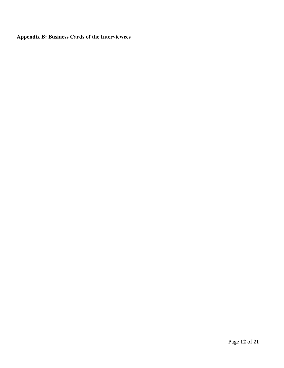**Appendix B: Business Cards of the Interviewees**